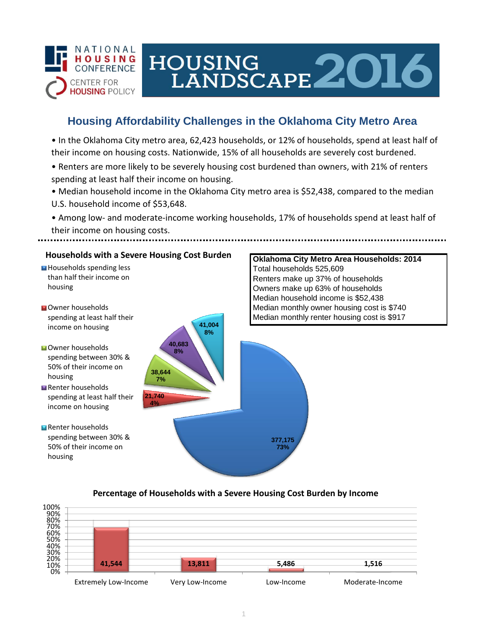

# HOUSING LANDSCAPE 2016

## **Housing Affordability Challenges in the Oklahoma City Metro Area**

• In the Oklahoma City metro area, 62,423 households, or 12% of households, spend at least half of their income on housing costs. Nationwide, 15% of all households are severely cost burdened.

- Renters are more likely to be severely housing cost burdened than owners, with 21% of renters spending at least half their income on housing.
- Median household income in the Oklahoma City metro area is \$52,438, compared to the median U.S. household income of \$53,648.

• Among low- and moderate-income working households, 17% of households spend at least half of their income on housing costs.



#### **Percentage of Households with a Severe Housing Cost Burden by Income**